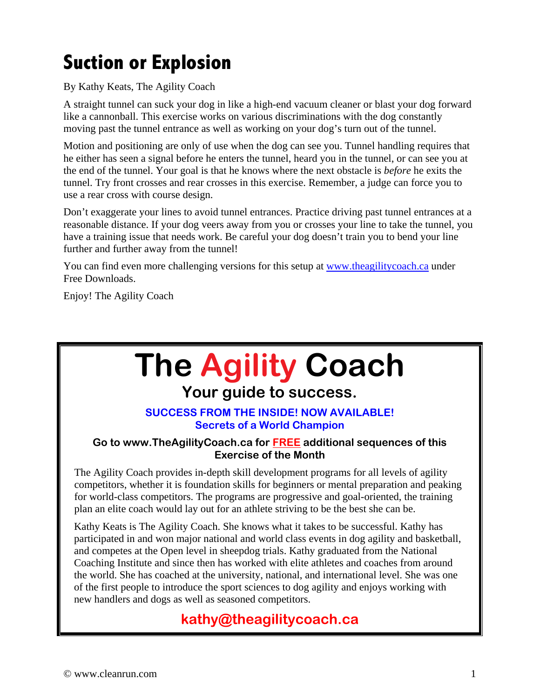## **Suction or Explosion**

By Kathy Keats, The Agility Coach

A straight tunnel can suck your dog in like a high-end vacuum cleaner or blast your dog forward like a cannonball. This exercise works on various discriminations with the dog constantly moving past the tunnel entrance as well as working on your dog's turn out of the tunnel.

Motion and positioning are only of use when the dog can see you. Tunnel handling requires that he either has seen a signal before he enters the tunnel, heard you in the tunnel, or can see you at the end of the tunnel. Your goal is that he knows where the next obstacle is *before* he exits the tunnel. Try front crosses and rear crosses in this exercise. Remember, a judge can force you to use a rear cross with course design.

Don't exaggerate your lines to avoid tunnel entrances. Practice driving past tunnel entrances at a reasonable distance. If your dog veers away from you or crosses your line to take the tunnel, you have a training issue that needs work. Be careful your dog doesn't train you to bend your line further and further away from the tunnel!

You can find even more challenging versions for this setup at www.theagilitycoach.ca under Free Downloads.

Enjoy! The Agility Coach

# **The Agility Coach**

# **Your guide to success.**

#### **SUCCESS FROM THE INSIDE! NOW AVAILABLE! Secrets of a World Champion**

#### **Go to www.TheAgilityCoach.ca for FREE additional sequences of this Exercise of the Month**

The Agility Coach provides in-depth skill development programs for all levels of agility competitors, whether it is foundation skills for beginners or mental preparation and peaking for world-class competitors. The programs are progressive and goal-oriented, the training plan an elite coach would lay out for an athlete striving to be the best she can be.

Kathy Keats is The Agility Coach. She knows what it takes to be successful. Kathy has participated in and won major national and world class events in dog agility and basketball, and competes at the Open level in sheepdog trials. Kathy graduated from the National Coaching Institute and since then has worked with elite athletes and coaches from around the world. She has coached at the university, national, and international level. She was one of the first people to introduce the sport sciences to dog agility and enjoys working with new handlers and dogs as well as seasoned competitors.

## **kathy@theagilitycoach.ca**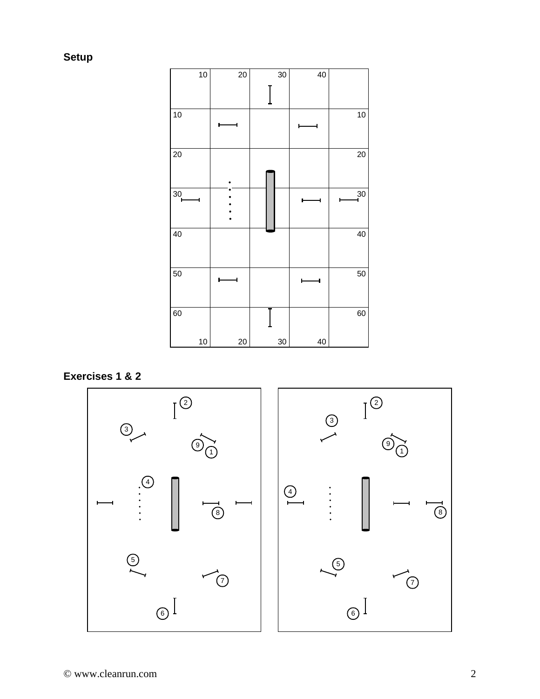**Setup** 

| 10                   | 20 | 30 | 40 |       |
|----------------------|----|----|----|-------|
|                      |    |    |    |       |
| 10                   |    |    |    | 10    |
| $\overline{20}$      |    |    |    | 20    |
| $\overline{30}$<br>4 |    |    |    | $-30$ |
| 40                   |    |    |    | 40    |
| $\overline{50}$      |    |    |    | 50    |
| 60                   |    |    |    | 60    |
| 10                   | 20 | 30 | 40 |       |

### **Exercises 1 & 2**

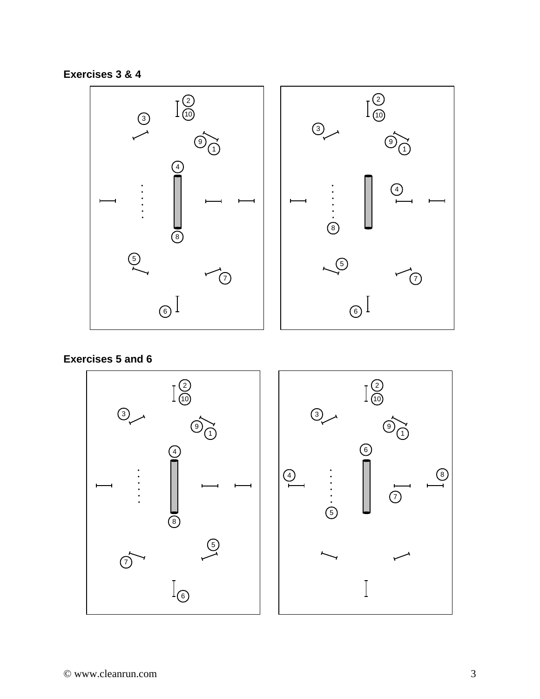